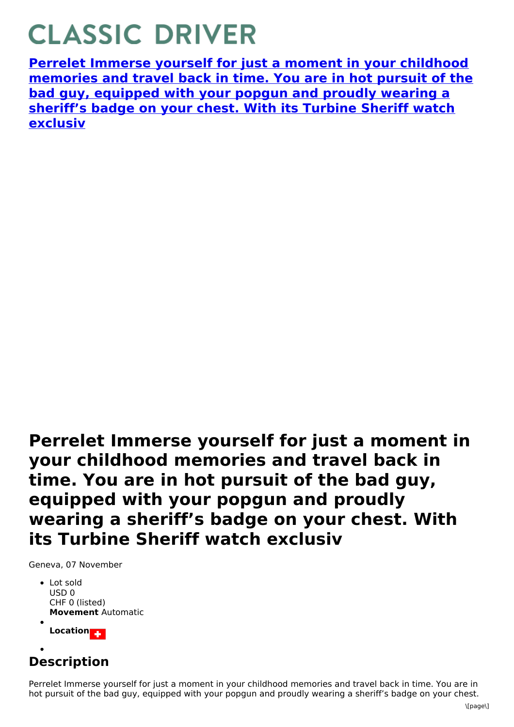## **CLASSIC DRIVER**

**Perrelet Immerse yourself for just a moment in your childhood [memories](https://www.classicdriver.com/en/watch/perrelet/339424) and travel back in time. You are in hot pursuit of the bad guy, equipped with your popgun and proudly wearing a sheriff's badge on your chest. With its Turbine Sheriff watch exclusiv**

**Perrelet Immerse yourself for just a moment in your childhood memories and travel back in time. You are in hot pursuit of the bad guy, equipped with your popgun and proudly wearing a sheriff's badge on your chest. With its Turbine Sheriff watch exclusiv**

Geneva, 07 November

- **Movement** Automatic • Lot sold USD 0 CHF 0 (listed)
- Location<sub>23</sub>

## **Description**

Perrelet Immerse yourself for just a moment in your childhood memories and travel back in time. You are in hot pursuit of the bad guy, equipped with your popgun and proudly wearing a sheriff's badge on your chest.